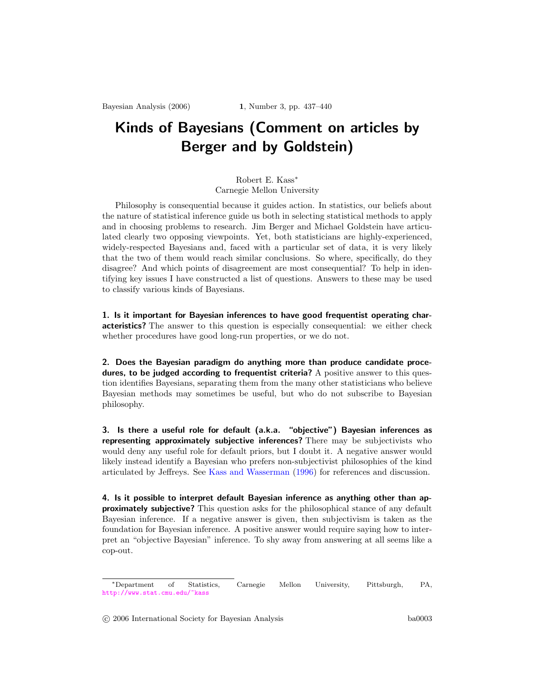## Kinds of Bayesians (Comment on articles by Berger and by Goldstein)

## Robert E. Kass<sup>∗</sup> Carnegie Mellon University

Philosophy is consequential because it guides action. In statistics, our beliefs about the nature of statistical inference guide us both in selecting statistical methods to apply and in choosing problems to research. Jim Berger and Michael Goldstein have articulated clearly two opposing viewpoints. Yet, both statisticians are highly-experienced, widely-respected Bayesians and, faced with a particular set of data, it is very likely that the two of them would reach similar conclusions. So where, specifically, do they disagree? And which points of disagreement are most consequential? To help in identifying key issues I have constructed a list of questions. Answers to these may be used to classify various kinds of Bayesians.

1. Is it important for Bayesian inferences to have good frequentist operating characteristics? The answer to this question is especially consequential: we either check whether procedures have good long-run properties, or we do not.

2. Does the Bayesian paradigm do anything more than produce candidate procedures, to be judged according to frequentist criteria? A positive answer to this question identifies Bayesians, separating them from the many other statisticians who believe Bayesian methods may sometimes be useful, but who do not subscribe to Bayesian philosophy.

3. Is there a useful role for default (a.k.a. "objective") Bayesian inferences as representing approximately subjective inferences? There may be subjectivists who would deny any useful role for default priors, but I doubt it. A negative answer would likely instead identify a Bayesian who prefers non-subjectivist philosophies of the kind articulated by Jeffreys. See Kass and [Wasserman](#page-2-0) [\(1996\)](#page-2-0) for references and discussion.

4. Is it possible to interpret default Bayesian inference as anything other than approximately subjective? This question asks for the philosophical stance of any default Bayesian inference. If a negative answer is given, then subjectivism is taken as the foundation for Bayesian inference. A positive answer would require saying how to interpret an "objective Bayesian" inference. To shy away from answering at all seems like a cop-out.

<sup>∗</sup>Department of Statistics, Carnegie Mellon University, Pittsburgh, PA, <http://www.stat.cmu.edu/~kass>

<sup>°</sup>c 2006 International Society for Bayesian Analysis ba0003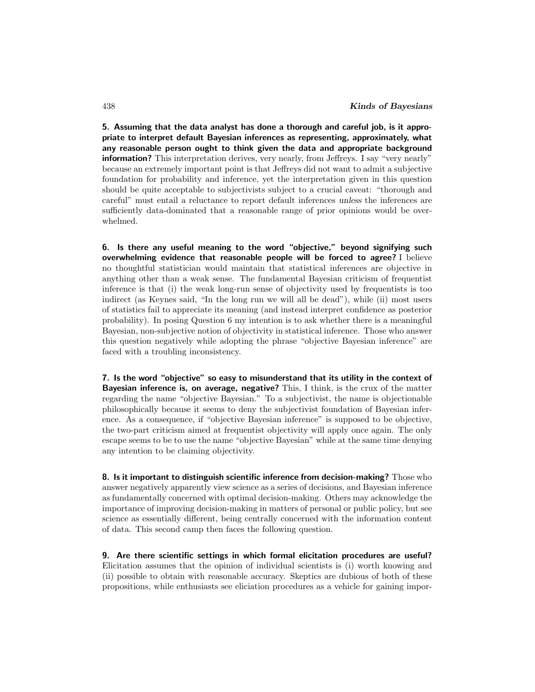5. Assuming that the data analyst has done a thorough and careful job, is it appropriate to interpret default Bayesian inferences as representing, approximately, what any reasonable person ought to think given the data and appropriate background information? This interpretation derives, very nearly, from Jeffreys. I say "very nearly" because an extremely important point is that Jeffreys did not want to admit a subjective foundation for probability and inference, yet the interpretation given in this question should be quite acceptable to subjectivists subject to a crucial caveat: "thorough and careful" must entail a reluctance to report default inferences unless the inferences are sufficiently data-dominated that a reasonable range of prior opinions would be overwhelmed.

6. Is there any useful meaning to the word "objective," beyond signifying such overwhelming evidence that reasonable people will be forced to agree? I believe no thoughtful statistician would maintain that statistical inferences are objective in anything other than a weak sense. The fundamental Bayesian criticism of frequentist inference is that (i) the weak long-run sense of objectivity used by frequentists is too indirect (as Keynes said, "In the long run we will all be dead"), while (ii) most users of statistics fail to appreciate its meaning (and instead interpret confidence as posterior probability). In posing Question 6 my intention is to ask whether there is a meaningful Bayesian, non-subjective notion of objectivity in statistical inference. Those who answer this question negatively while adopting the phrase "objective Bayesian inference" are faced with a troubling inconsistency.

7. Is the word "objective" so easy to misunderstand that its utility in the context of Bayesian inference is, on average, negative? This, I think, is the crux of the matter regarding the name "objective Bayesian." To a subjectivist, the name is objectionable philosophically because it seems to deny the subjectivist foundation of Bayesian inference. As a consequence, if "objective Bayesian inference" is supposed to be objective, the two-part criticism aimed at frequentist objectivity will apply once again. The only escape seems to be to use the name "objective Bayesian" while at the same time denying any intention to be claiming objectivity.

8. Is it important to distinguish scientific inference from decision-making? Those who answer negatively apparently view science as a series of decisions, and Bayesian inference as fundamentally concerned with optimal decision-making. Others may acknowledge the importance of improving decision-making in matters of personal or public policy, but see science as essentially different, being centrally concerned with the information content of data. This second camp then faces the following question.

9. Are there scientific settings in which formal elicitation procedures are useful? Elicitation assumes that the opinion of individual scientists is (i) worth knowing and (ii) possible to obtain with reasonable accuracy. Skeptics are dubious of both of these propositions, while enthusiasts see eliciation procedures as a vehicle for gaining impor-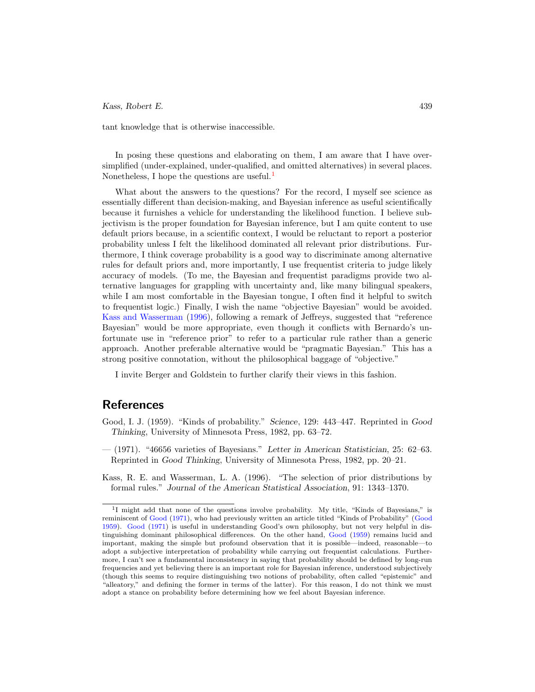## Kass, Robert E. 439

tant knowledge that is otherwise inaccessible.

In posing these questions and elaborating on them, I am aware that I have oversimplified (under-explained, under-qualified, and omitted alternatives) in several places. Nonetheless, I hope the questions are useful.<sup>[1](#page-2-1)</sup>

What about the answers to the questions? For the record, I myself see science as essentially different than decision-making, and Bayesian inference as useful scientifically because it furnishes a vehicle for understanding the likelihood function. I believe subjectivism is the proper foundation for Bayesian inference, but I am quite content to use default priors because, in a scientific context, I would be reluctant to report a posterior probability unless I felt the likelihood dominated all relevant prior distributions. Furthermore, I think coverage probability is a good way to discriminate among alternative rules for default priors and, more importantly, I use frequentist criteria to judge likely accuracy of models. (To me, the Bayesian and frequentist paradigms provide two alternative languages for grappling with uncertainty and, like many bilingual speakers, while I am most comfortable in the Bayesian tongue, I often find it helpful to switch to frequentist logic.) Finally, I wish the name "objective Bayesian" would be avoided. Kass and [Wasserman](#page-2-0) [\(1996](#page-2-0)), following a remark of Jeffreys, suggested that "reference Bayesian" would be more appropriate, even though it conflicts with Bernardo's unfortunate use in "reference prior" to refer to a particular rule rather than a generic approach. Another preferable alternative would be "pragmatic Bayesian." This has a strong positive connotation, without the philosophical baggage of "objective."

I invite Berger and Goldstein to further clarify their views in this fashion.

## References

- <span id="page-2-3"></span>Good, I. J. (1959). "Kinds of probability." Science, 129: 443–447. Reprinted in Good Thinking, University of Minnesota Press, 1982, pp. 63–72.
- <span id="page-2-2"></span> $-$  (1971). "46656 varieties of Bayesians." Letter in American Statistician, 25: 62–63. Reprinted in Good Thinking, University of Minnesota Press, 1982, pp. 20–21.

<span id="page-2-0"></span>Kass, R. E. and Wasserman, L. A. (1996). "The selection of prior distributions by formal rules." Journal of the American Statistical Association, 91: 1343–1370.

<span id="page-2-1"></span><sup>&</sup>lt;sup>1</sup>I might add that none of the questions involve probability. My title, "Kinds of Bayesians," is reminiscent of [Good](#page-2-2) [\(1971](#page-2-2)), who had previously written an article titled "Kinds of Probability" [\(Good](#page-2-3) [1959\)](#page-2-3). [Good](#page-2-2) [\(1971\)](#page-2-2) is useful in understanding Good's own philosophy, but not very helpful in distinguishing dominant philosophical differences. On the other hand, [Good](#page-2-3) [\(1959\)](#page-2-3) remains lucid and important, making the simple but profound observation that it is possible—indeed, reasonable—to adopt a subjective interpretation of probability while carrying out frequentist calculations. Furthermore, I can't see a fundamental inconsistency in saying that probability should be defined by long-run frequencies and yet believing there is an important role for Bayesian inference, understood subjectively (though this seems to require distinguishing two notions of probability, often called "epistemic" and "alleatory," and defining the former in terms of the latter). For this reason, I do not think we must adopt a stance on probability before determining how we feel about Bayesian inference.